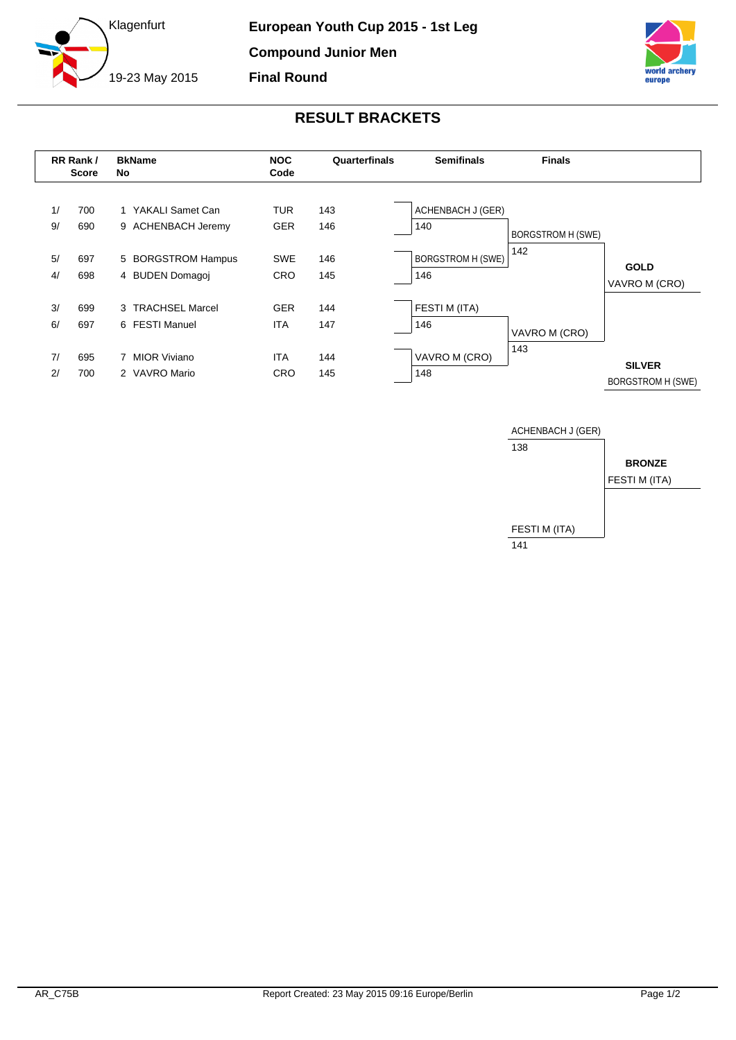



## **RESULT BRACKETS**